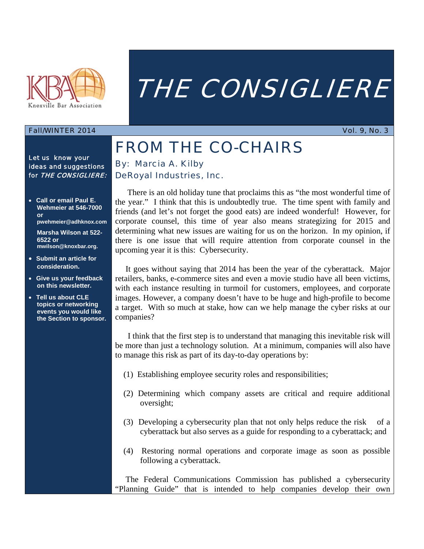

# THE CONSIGLIERE

### Fall/WINTER 2014 **Vol. 9, No. 3**

Let us know your ideas and suggestions for THE CONSIGLIERE:

 **Call or email Paul E. Wehmeier at 546-7000 or pwehmeier@adhknox.com** 

**Marsha Wilson at 522- 6522 or mwilson@knoxbar.org.**

- **Submit an article for consideration.**
- **Give us your feedback on this newsletter.**
- **Tell us about CLE topics or networking events you would like the Section to sponsor.**

## FROM THE CO-CHAIRS By: Marcia A. Kilby DeRoyal Industries, Inc.

 There is an old holiday tune that proclaims this as "the most wonderful time of the year." I think that this is undoubtedly true. The time spent with family and friends (and let's not forget the good eats) are indeed wonderful! However, for corporate counsel, this time of year also means strategizing for 2015 and determining what new issues are waiting for us on the horizon. In my opinion, if there is one issue that will require attention from corporate counsel in the upcoming year it is this: Cybersecurity.

 It goes without saying that 2014 has been the year of the cyberattack. Major retailers, banks, e-commerce sites and even a movie studio have all been victims, with each instance resulting in turmoil for customers, employees, and corporate images. However, a company doesn't have to be huge and high-profile to become a target. With so much at stake, how can we help manage the cyber risks at our companies?

 I think that the first step is to understand that managing this inevitable risk will be more than just a technology solution. At a minimum, companies will also have to manage this risk as part of its day-to-day operations by:

- (1) Establishing employee security roles and responsibilities;
- (2) Determining which company assets are critical and require additional oversight;
- (3) Developing a cybersecurity plan that not only helps reduce the risk of a cyberattack but also serves as a guide for responding to a cyberattack; and
- (4) Restoring normal operations and corporate image as soon as possible following a cyberattack.

 The Federal Communications Commission has published a cybersecurity "Planning Guide" that is intended to help companies develop their own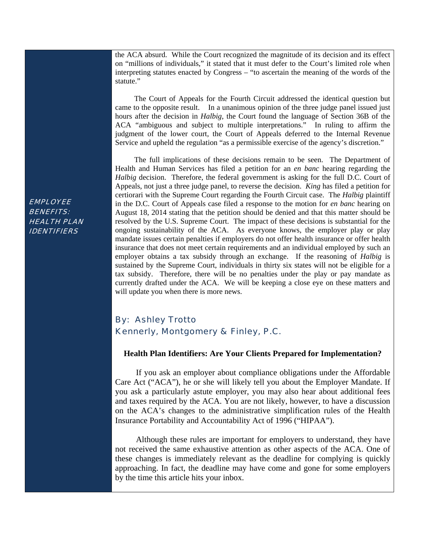the ACA absurd. While the Court recognized the magnitude of its decision and its effect on "millions of individuals," it stated that it must defer to the Court's limited role when interpreting statutes enacted by Congress – "to ascertain the meaning of the words of the statute."

 The Court of Appeals for the Fourth Circuit addressed the identical question but came to the opposite result. In a unanimous opinion of the three judge panel issued just hours after the decision in *Halbig*, the Court found the language of Section 36B of the ACA "ambiguous and subject to multiple interpretations." In ruling to affirm the judgment of the lower court, the Court of Appeals deferred to the Internal Revenue Service and upheld the regulation "as a permissible exercise of the agency's discretion."

 The full implications of these decisions remain to be seen. The Department of Health and Human Services has filed a petition for an *en banc* hearing regarding the *Halbig* decision. Therefore, the federal government is asking for the full D.C. Court of Appeals, not just a three judge panel, to reverse the decision. *King* has filed a petition for certiorari with the Supreme Court regarding the Fourth Circuit case. The *Halbig* plaintiff in the D.C. Court of Appeals case filed a response to the motion for *en banc* hearing on August 18, 2014 stating that the petition should be denied and that this matter should be resolved by the U.S. Supreme Court. The impact of these decisions is substantial for the ongoing sustainability of the ACA. As everyone knows, the employer play or play mandate issues certain penalties if employers do not offer health insurance or offer health insurance that does not meet certain requirements and an individual employed by such an employer obtains a tax subsidy through an exchange. If the reasoning of *Halbig* is sustained by the Supreme Court, individuals in thirty six states will not be eligible for a tax subsidy. Therefore, there will be no penalties under the play or pay mandate as currently drafted under the ACA. We will be keeping a close eye on these matters and will update you when there is more news.

## By: Ashley Trotto Kennerly, Montgomery & Finley, P.C.

#### **Health Plan Identifiers: Are Your Clients Prepared for Implementation?**

 If you ask an employer about compliance obligations under the Affordable Care Act ("ACA"), he or she will likely tell you about the Employer Mandate. If you ask a particularly astute employer, you may also hear about additional fees and taxes required by the ACA. You are not likely, however, to have a discussion on the ACA's changes to the administrative simplification rules of the Health Insurance Portability and Accountability Act of 1996 ("HIPAA").

 Although these rules are important for employers to understand, they have not received the same exhaustive attention as other aspects of the ACA. One of these changes is immediately relevant as the deadline for complying is quickly approaching. In fact, the deadline may have come and gone for some employers by the time this article hits your inbox.

**EMPLOYEE** BENEFITS: HEALTH PLAN IDENTIFIERS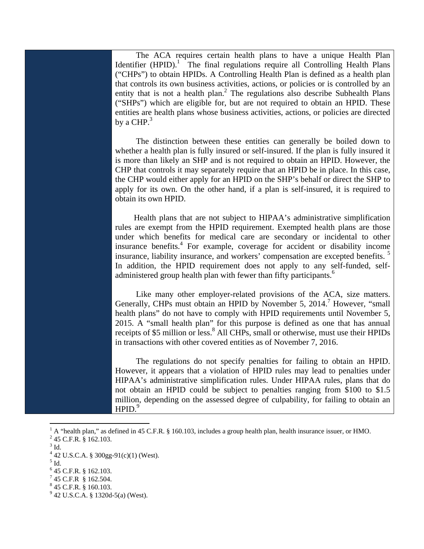The ACA requires certain health plans to have a unique Health Plan Identifier  $(HPID)$ .<sup>1</sup> The final regulations require all Controlling Health Plans ("CHPs") to obtain HPIDs. A Controlling Health Plan is defined as a health plan that controls its own business activities, actions, or policies or is controlled by an entity that is not a health plan.<sup>2</sup> The regulations also describe Subhealth Plans ("SHPs") which are eligible for, but are not required to obtain an HPID. These entities are health plans whose business activities, actions, or policies are directed by a CHP. $3$ 

 The distinction between these entities can generally be boiled down to whether a health plan is fully insured or self-insured. If the plan is fully insured it is more than likely an SHP and is not required to obtain an HPID. However, the CHP that controls it may separately require that an HPID be in place. In this case, the CHP would either apply for an HPID on the SHP's behalf or direct the SHP to apply for its own. On the other hand, if a plan is self-insured, it is required to obtain its own HPID.

 Health plans that are not subject to HIPAA's administrative simplification rules are exempt from the HPID requirement. Exempted health plans are those under which benefits for medical care are secondary or incidental to other insurance benefits.<sup>4</sup> For example, coverage for accident or disability income insurance, liability insurance, and workers' compensation are excepted benefits. <sup>5</sup> In addition, the HPID requirement does not apply to any self-funded, selfadministered group health plan with fewer than fifty participants.<sup>6</sup>

 Like many other employer-related provisions of the ACA, size matters. Generally, CHPs must obtain an HPID by November 5, 2014.<sup>7</sup> However, "small health plans" do not have to comply with HPID requirements until November 5, 2015. A "small health plan" for this purpose is defined as one that has annual receipts of \$5 million or less.<sup>8</sup> All CHPs, small or otherwise, must use their HPIDs in transactions with other covered entities as of November 7, 2016.

 The regulations do not specify penalties for failing to obtain an HPID. However, it appears that a violation of HPID rules may lead to penalties under HIPAA's administrative simplification rules. Under HIPAA rules, plans that do not obtain an HPID could be subject to penalties ranging from \$100 to \$1.5 million, depending on the assessed degree of culpability, for failing to obtain an  $HPID.<sup>9</sup>$ 

 $\overline{a}$ 

 $<sup>5</sup>$  Id.</sup>

 $845$  C.F.R. § 160.103.

<sup>&</sup>lt;sup>1</sup> A "health plan," as defined in 45 C.F.R. § 160.103, includes a group health plan, health insurance issuer, or HMO.<br><sup>2</sup> 45 C.E.B. § 162,102

<sup>&</sup>lt;sup>2</sup> 45 C.F.R. § 162.103.

 $3$  Id.

<sup>4</sup> 42 U.S.C.A. § 300gg-91(c)(1) (West).

 $6$  45 C.F.R. § 162.103.

 $7$  45 C.F.R § 162.504.

 $9^9$  42 U.S.C.A. § 1320d-5(a) (West).